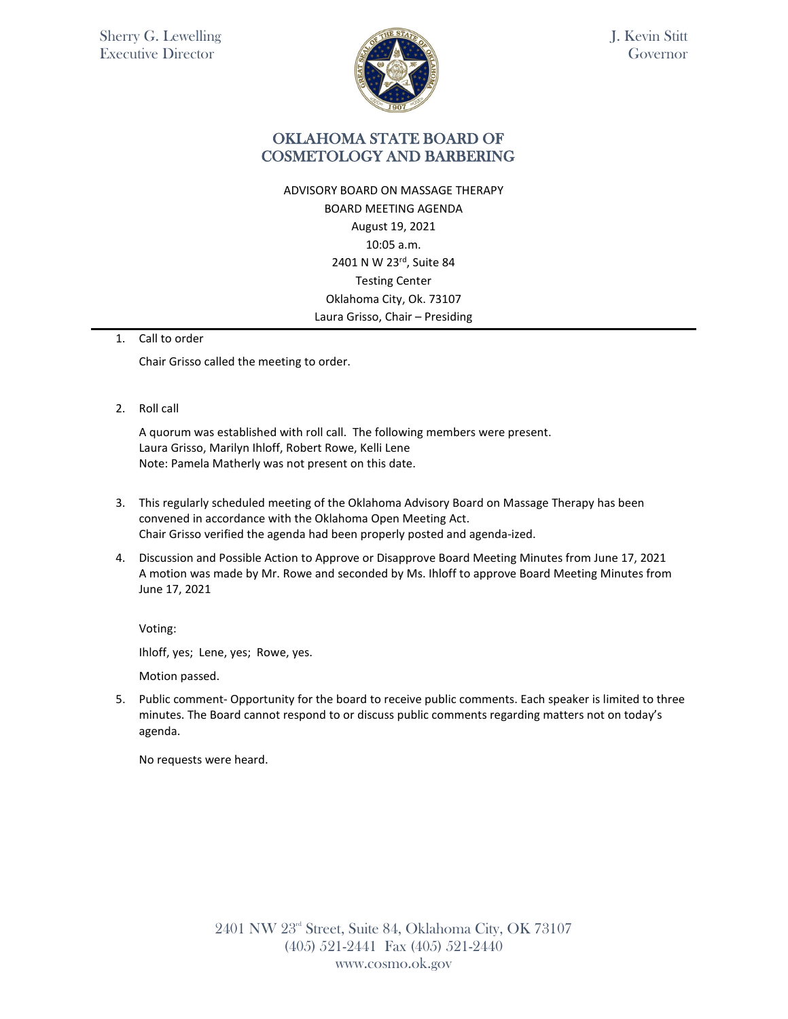

J. Kevin Stitt Governor

### OKLAHOMA STATE BOARD OF COSMETOLOGY AND BARBERING

ADVISORY BOARD ON MASSAGE THERAPY BOARD MEETING AGENDA August 19, 2021 10:05 a.m. 2401 N W 23rd, Suite 84 Testing Center Oklahoma City, Ok. 73107 Laura Grisso, Chair – Presiding

#### 1. Call to order

Chair Grisso called the meeting to order.

2. Roll call

A quorum was established with roll call. The following members were present. Laura Grisso, Marilyn Ihloff, Robert Rowe, Kelli Lene Note: Pamela Matherly was not present on this date.

- 3. This regularly scheduled meeting of the Oklahoma Advisory Board on Massage Therapy has been convened in accordance with the Oklahoma Open Meeting Act. Chair Grisso verified the agenda had been properly posted and agenda-ized.
- 4. Discussion and Possible Action to Approve or Disapprove Board Meeting Minutes from June 17, 2021 A motion was made by Mr. Rowe and seconded by Ms. Ihloff to approve Board Meeting Minutes from June 17, 2021

Voting:

Ihloff, yes; Lene, yes; Rowe, yes.

Motion passed.

5. Public comment- Opportunity for the board to receive public comments. Each speaker is limited to three minutes. The Board cannot respond to or discuss public comments regarding matters not on today's agenda.

No requests were heard.

2401 NW 23rd Street, Suite 84, Oklahoma City, OK 73107 (405) 521-2441 Fax (405) 521-2440 www.cosmo.ok.gov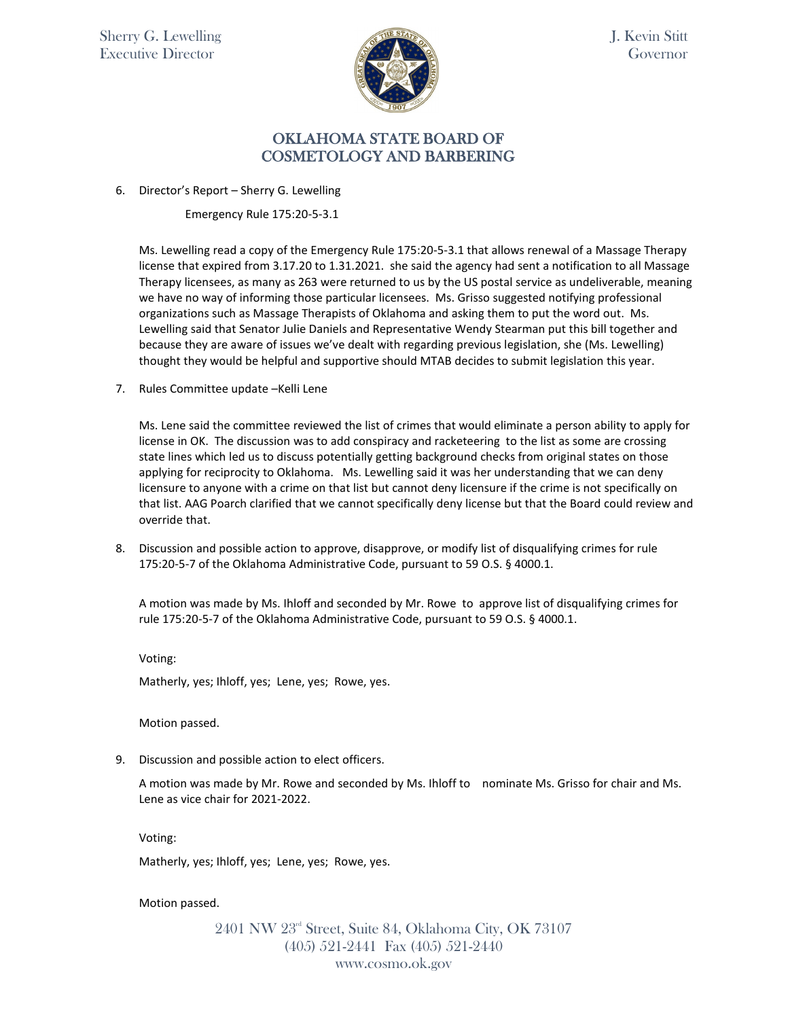Sherry G. Lewelling Executive Director



J. Kevin Stitt Governor

#### OKLAHOMA STATE BOARD OF COSMETOLOGY AND BARBERING

6. Director's Report – Sherry G. Lewelling

Emergency Rule 175:20-5-3.1

Ms. Lewelling read a copy of the Emergency Rule 175:20-5-3.1 that allows renewal of a Massage Therapy license that expired from 3.17.20 to 1.31.2021. she said the agency had sent a notification to all Massage Therapy licensees, as many as 263 were returned to us by the US postal service as undeliverable, meaning we have no way of informing those particular licensees. Ms. Grisso suggested notifying professional organizations such as Massage Therapists of Oklahoma and asking them to put the word out. Ms. Lewelling said that Senator Julie Daniels and Representative Wendy Stearman put this bill together and because they are aware of issues we've dealt with regarding previous legislation, she (Ms. Lewelling) thought they would be helpful and supportive should MTAB decides to submit legislation this year.

7. Rules Committee update –Kelli Lene

Ms. Lene said the committee reviewed the list of crimes that would eliminate a person ability to apply for license in OK. The discussion was to add conspiracy and racketeering to the list as some are crossing state lines which led us to discuss potentially getting background checks from original states on those applying for reciprocity to Oklahoma. Ms. Lewelling said it was her understanding that we can deny licensure to anyone with a crime on that list but cannot deny licensure if the crime is not specifically on that list. AAG Poarch clarified that we cannot specifically deny license but that the Board could review and override that.

8. Discussion and possible action to approve, disapprove, or modify list of disqualifying crimes for rule 175:20-5-7 of the Oklahoma Administrative Code, pursuant to 59 O.S. § 4000.1.

A motion was made by Ms. Ihloff and seconded by Mr. Rowe to approve list of disqualifying crimes for rule 175:20-5-7 of the Oklahoma Administrative Code, pursuant to 59 O.S. § 4000.1.

Voting:

Matherly, yes; Ihloff, yes; Lene, yes; Rowe, yes.

Motion passed.

9. Discussion and possible action to elect officers.

A motion was made by Mr. Rowe and seconded by Ms. Ihloff to nominate Ms. Grisso for chair and Ms. Lene as vice chair for 2021-2022.

Voting:

Matherly, yes; Ihloff, yes; Lene, yes; Rowe, yes.

Motion passed.

2401 NW 23rd Street, Suite 84, Oklahoma City, OK 73107 (405) 521-2441 Fax (405) 521-2440 www.cosmo.ok.gov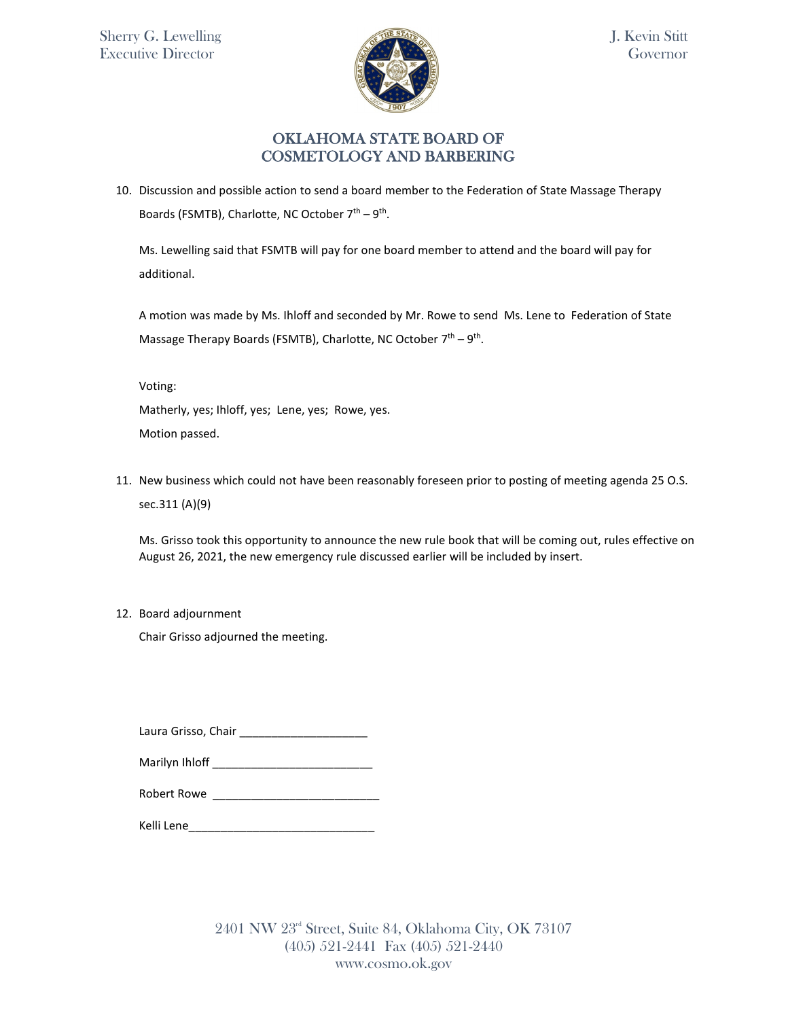

## OKLAHOMA STATE BOARD OF COSMETOLOGY AND BARBERING

10. Discussion and possible action to send a board member to the Federation of State Massage Therapy Boards (FSMTB), Charlotte, NC October  $7<sup>th</sup> - 9<sup>th</sup>$ .

Ms. Lewelling said that FSMTB will pay for one board member to attend and the board will pay for additional.

A motion was made by Ms. Ihloff and seconded by Mr. Rowe to send Ms. Lene to Federation of State Massage Therapy Boards (FSMTB), Charlotte, NC October  $7<sup>th</sup> - 9<sup>th</sup>$ .

Voting:

Matherly, yes; Ihloff, yes; Lene, yes; Rowe, yes. Motion passed.

11. New business which could not have been reasonably foreseen prior to posting of meeting agenda 25 O.S. sec.311 (A)(9)

Ms. Grisso took this opportunity to announce the new rule book that will be coming out, rules effective on August 26, 2021, the new emergency rule discussed earlier will be included by insert.

12. Board adjournment

Chair Grisso adjourned the meeting.

Laura Grisso, Chair \_\_\_\_\_\_\_\_\_\_\_\_\_\_\_\_\_\_\_\_

| Marilyn Ihloff |
|----------------|
|----------------|

Robert Rowe \_\_\_\_\_\_\_\_\_\_\_\_\_\_\_\_\_\_\_\_\_\_\_\_\_\_

Kelli Lene\_\_\_\_\_\_\_\_\_\_\_\_\_\_\_\_\_\_\_\_\_\_\_\_\_\_\_\_\_

2401 NW 23rd Street, Suite 84, Oklahoma City, OK 73107 (405) 521-2441 Fax (405) 521-2440 www.cosmo.ok.gov